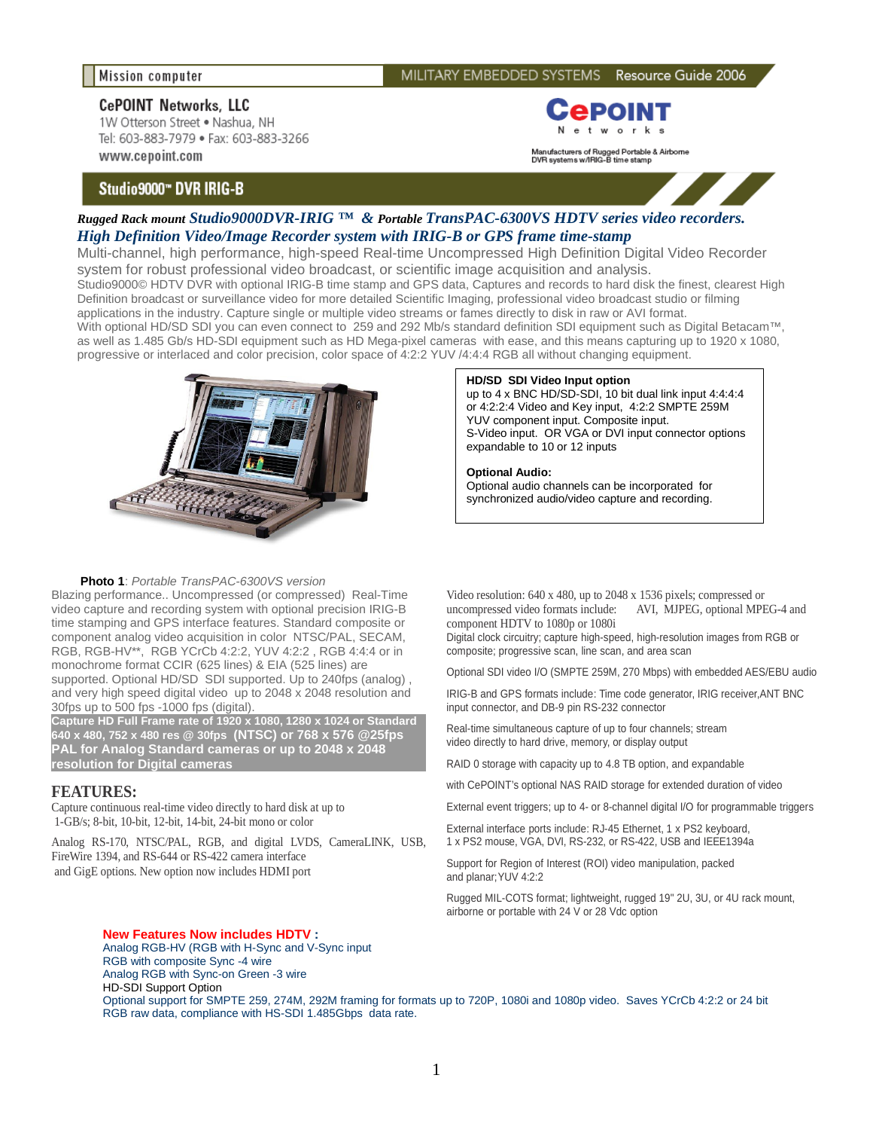**HD/SD SDI Video Input option**

expandable to 10 or 12 inputs

**Optional Audio:**

YUV component input. Composite input.

# **CePOINT Networks, LLC**

1W Otterson Street . Nashua, NH Tel: 603-883-7979 · Fax: 603-883-3266 www.cepoint.com

## Studio9000" DVR IRIG-B



Manufacturers of Rugged Portable & Airborne<br>DVR systems w/IRIG-B time stamp

up to 4 x BNC HD/SD-SDI, 10 bit dual link input 4:4:4:4 or 4:2:2:4 Video and Key input, 4:2:2 SMPTE 259M

S-Video input. OR VGA or DVI input connector options

Optional audio channels can be incorporated for synchronized audio/video capture and recording.



## *Rugged Rack mount Studio9000DVR-IRIG ™ & Portable TransPAC-6300VS HDTV series video recorders. High Definition Video/Image Recorder system with IRIG-B or GPS frame time-stamp*

Multi-channel, high performance, high-speed Real-time Uncompressed High Definition Digital Video Recorder system for robust professional video broadcast, or scientific image acquisition and analysis. Studio9000© HDTV DVR with optional IRIG-B time stamp and GPS data, Captures and records to hard disk the finest, clearest High

Definition broadcast or surveillance video for more detailed Scientific Imaging, professional video broadcast studio or filming applications in the industry. Capture single or multiple video streams or fames directly to disk in raw or AVI format.

With optional HD/SD SDI you can even connect to 259 and 292 Mb/s standard definition SDI equipment such as Digital Betacam™, as well as 1.485 Gb/s HD-SDI equipment such as HD Mega-pixel cameras with ease, and this means capturing up to 1920 x 1080, progressive or interlaced and color precision, color space of 4:2:2 YUV /4:4:4 RGB all without changing equipment.



#### **Photo 1**: *Portable TransPAC-6300VS version*

Blazing performance.. Uncompressed (or compressed) Real-Time video capture and recording system with optional precision IRIG-B time stamping and GPS interface features. Standard composite or component analog video acquisition in color NTSC/PAL, SECAM, RGB, RGB-HV\*\*, RGB YCrCb 4:2:2, YUV 4:2:2 , RGB 4:4:4 or in monochrome format CCIR (625 lines) & EIA (525 lines) are supported. Optional HD/SD SDI supported. Up to 240fps (analog) , and very high speed digital video up to 2048 x 2048 resolution and 30fps up to 500 fps -1000 fps (digital).

**Capture HD Full Frame rate of 1920 x 1080, 1280 x 1024 or Standard 640 x 480, 752 x 480 res @ 30fps (NTSC) or 768 x 576 @25fps PAL for Analog Standard cameras or up to 2048 x 2048 resolution for Digital cameras**

## **FEATURES:**

Capture continuous real-time video directly to hard disk at up to 1-GB/s; 8-bit, 10-bit, 12-bit, 14-bit, 24-bit mono or color

Analog RS-170, NTSC/PAL, RGB, and digital LVDS, CameraLINK, USB, FireWire 1394, and RS-644 or RS-422 camera interface and GigE options. New option now includes HDMI port

#### **New Features Now includes HDTV :**

Analog RGB-HV (RGB with H-Sync and V-Sync input RGB with composite Sync -4 wire Analog RGB with Sync-on Green -3 wire HD-SDI Support Option Optional support for SMPTE 259, 274M, 292M framing for formats up to 720P, 1080i and 1080p video. Saves YCrCb 4:2:2 or 24 bit RGB raw data, compliance with HS-SDI 1.485Gbps data rate.

Video resolution: 640 x 480, up to 2048 x 1536 pixels; compressed or uncompressed video formats include: AVI, MJPEG, optional MPEG-4 and component HDTV to 1080p or 1080i

Digital clock circuitry; capture high-speed, high-resolution images from RGB or composite; progressive scan, line scan, and area scan

Optional SDI video I/O (SMPTE 259M, 270 Mbps) with embedded AES/EBU audio

IRIG-B and GPS formats include: Time code generator, IRIG receiver,ANT BNC input connector, and DB-9 pin RS-232 connector

Real-time simultaneous capture of up to four channels; stream video directly to hard drive, memory, or display output

RAID 0 storage with capacity up to 4.8 TB option, and expandable

with CePOINT's optional NAS RAID storage for extended duration of video

External event triggers; up to 4- or 8-channel digital I/O for programmable triggers

External interface ports include: RJ-45 Ethernet, 1 x PS2 keyboard, 1 x PS2 mouse, VGA, DVI, RS-232, or RS-422, USB and IEEE1394a

Support for Region of Interest (ROI) video manipulation, packed and planar;YUV 4:2:2

Rugged MIL-COTS format; lightweight, rugged 19" 2U, 3U, or 4U rack mount, airborne or portable with 24 V or 28 Vdc option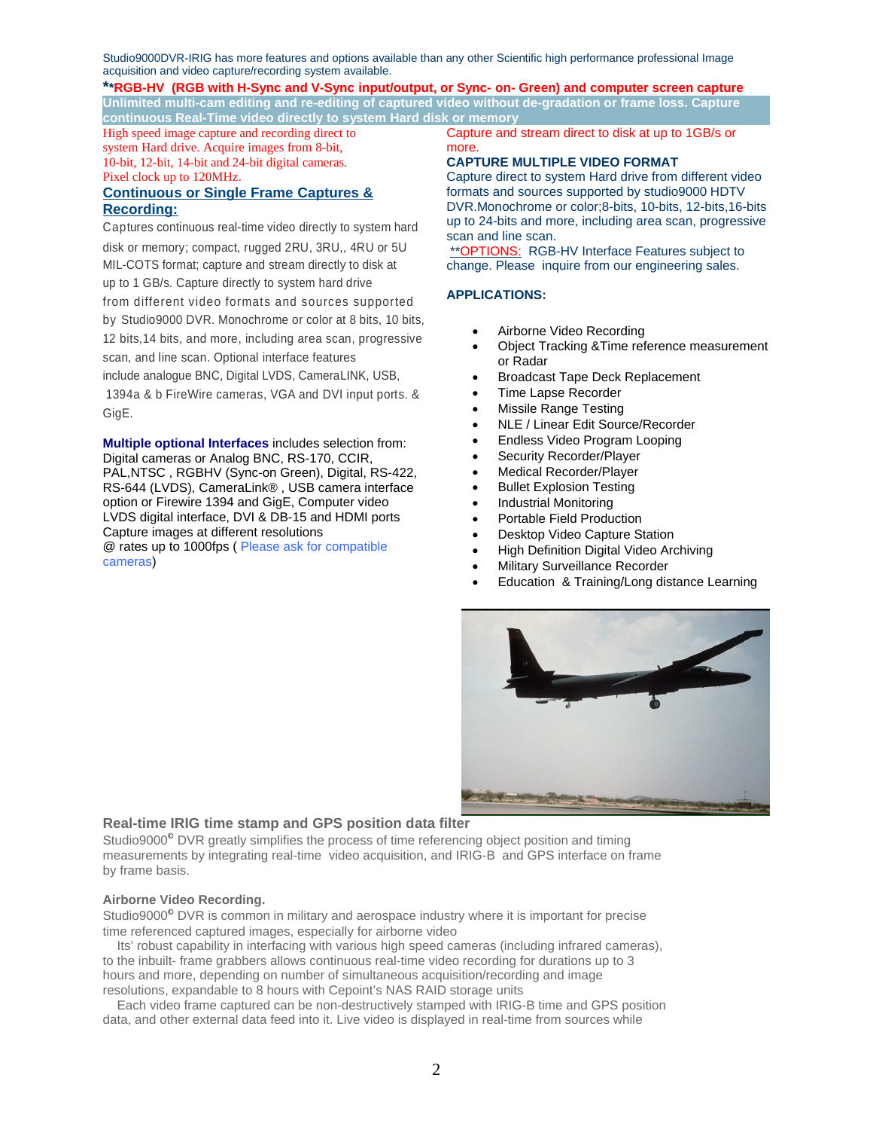Studio9000DVR-IRIG has more features and options available than any other Scientific high performance professional Image acquisition and video capture/recording system available.

## **\*\*RGB-HV (RGB with H-Sync and V-Sync input/output, or Sync- on- Green) and computer screen capture Unlimited multi-cam editing and re-editing of captured video without de-gradation or frame loss. Capture**

**continuous Real-Time video directly to system Hard disk or memory** High speed image capture and recording direct to system Hard drive. Acquire images from 8-bit,

10-bit, 12-bit, 14-bit and 24-bit digital cameras. Pixel clock up to 120MHz.

## **Continuous or Single Frame Captures & Recording:**

Captures continuous real-time video directly to system hard disk or memory; compact, rugged 2RU, 3RU,, 4RU or 5U MIL-COTS format; capture and stream directly to disk at up to 1 GB/s. Capture directly to system hard drive from different video formats and sources supported by Studio9000 DVR. Monochrome or color at 8 bits, 10 bits, 12 bits,14 bits, and more, including area scan, progressive scan, and line scan. Optional interface features include analogue BNC, Digital LVDS, CameraLINK, USB, 1394a & b FireWire cameras, VGA and DVI input ports. & GigE.

**Multiple optional Interfaces** includes selection from: Digital cameras or Analog BNC, RS-170, CCIR, PAL,NTSC , RGBHV (Sync-on Green), Digital, RS-422, RS-644 (LVDS), CameraLink® , USB camera interface option or Firewire 1394 and GigE, Computer video LVDS digital interface, DVI & DB-15 and HDMI ports Capture images at different resolutions @ rates up to 1000fps ( Please ask for compatible cameras)

Capture and stream direct to disk at up to 1GB/s or more.

## **CAPTURE MULTIPLE VIDEO FORMAT**

Capture direct to system Hard drive from different video formats and sources supported by studio9000 HDTV DVR.Monochrome or color;8-bits, 10-bits, 12-bits,16-bits up to 24-bits and more, including area scan, progressive scan and line scan.

\*\* OPTIONS: RGB-HV Interface Features subject to change. Please inquire from our engineering sales.

## **APPLICATIONS:**

- Airborne Video Recording
- Object Tracking &Time reference measurement or Radar
- Broadcast Tape Deck Replacement
- Time Lapse Recorder
- Missile Range Testing
- NLE / Linear Edit Source/Recorder
- Endless Video Program Looping
- Security Recorder/Player
- Medical Recorder/Player
- Bullet Explosion Testing
- Industrial Monitoring
- Portable Field Production
- Desktop Video Capture Station
- High Definition Digital Video Archiving
- Military Surveillance Recorder
- Education & Training/Long distance Learning



## **Real-time IRIG time stamp and GPS position data filter**

Studio9000*©* DVR greatly simplifies the process of time referencing object position and timing measurements by integrating real-time video acquisition, and IRIG-B and GPS interface on frame by frame basis.

## **Airborne Video Recording.**

Studio9000*©* DVR is common in military and aerospace industry where it is important for precise time referenced captured images, especially for airborne video

 Its' robust capability in interfacing with various high speed cameras (including infrared cameras), to the inbuilt- frame grabbers allows continuous real-time video recording for durations up to 3 hours and more, depending on number of simultaneous acquisition/recording and image resolutions, expandable to 8 hours with Cepoint's NAS RAID storage units

 Each video frame captured can be non-destructively stamped with IRIG-B time and GPS position data, and other external data feed into it. Live video is displayed in real-time from sources while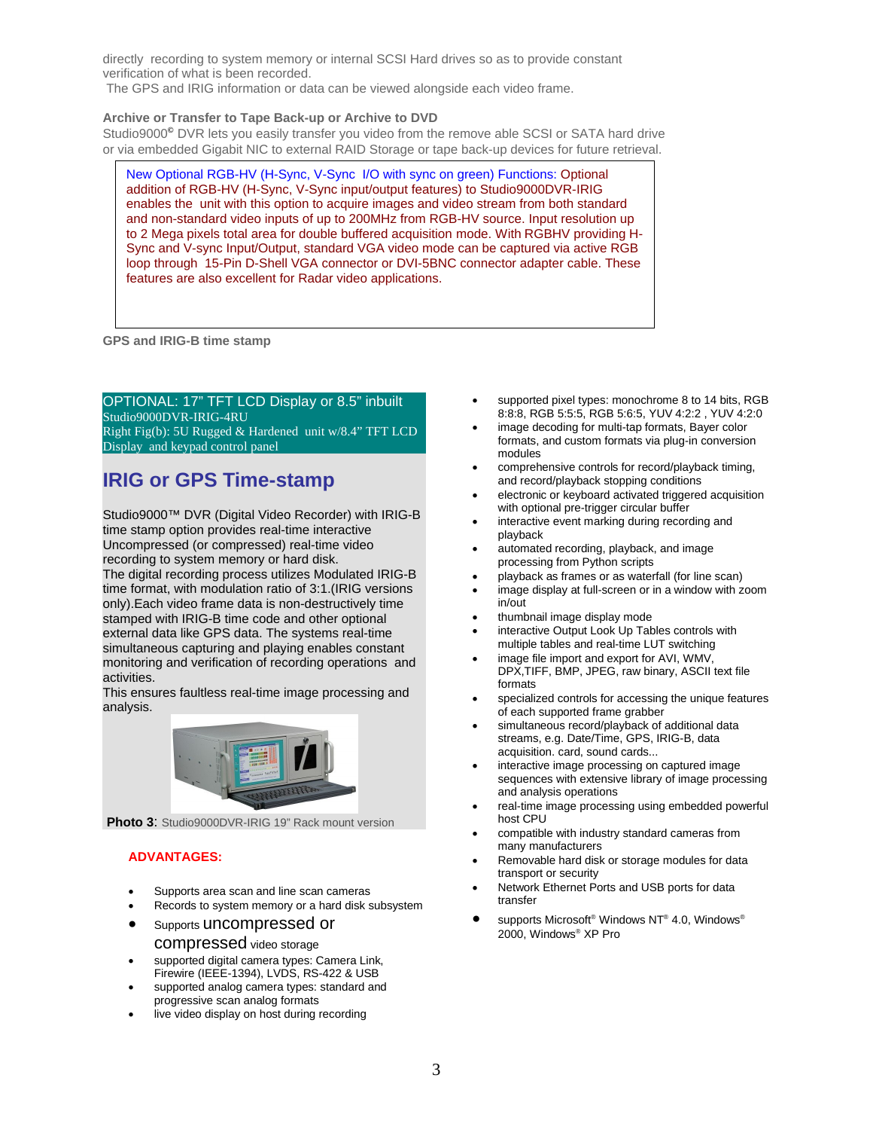directly recording to system memory or internal SCSI Hard drives so as to provide constant verification of what is been recorded.

The GPS and IRIG information or data can be viewed alongside each video frame.

## **Archive or Transfer to Tape Back-up or Archive to DVD**

Studio9000*©* DVR lets you easily transfer you video from the remove able SCSI or SATA hard drive or via embedded Gigabit NIC to external RAID Storage or tape back-up devices for future retrieval.

New Optional RGB-HV (H-Sync, V-Sync I/O with sync on green) Functions: Optional addition of RGB-HV (H-Sync, V-Sync input/output features) to Studio9000DVR-IRIG enables the unit with this option to acquire images and video stream from both standard and non-standard video inputs of up to 200MHz from RGB-HV source. Input resolution up to 2 Mega pixels total area for double buffered acquisition mode. With RGBHV providing H-Sync and V-sync Input/Output, standard VGA video mode can be captured via active RGB loop through 15-Pin D-Shell VGA connector or DVI-5BNC connector adapter cable. These features are also excellent for Radar video applications.

**GPS and IRIG-B time stamp**

OPTIONAL: 17" TFT LCD Display or 8.5" inbuilt Studio9000DVR-IRIG-4RU Right Fig(b): 5U Rugged & Hardened unit w/8.4" TFT LCD Display and keypad control panel

# **IRIG or GPS Time-stamp**

Studio9000™ DVR (Digital Video Recorder) with IRIG-B time stamp option provides real-time interactive Uncompressed (or compressed) real-time video recording to system memory or hard disk.

The digital recording process utilizes Modulated IRIG-B time format, with modulation ratio of 3:1.(IRIG versions only).Each video frame data is non-destructively time stamped with IRIG-B time code and other optional external data like GPS data. The systems real-time simultaneous capturing and playing enables constant monitoring and verification of recording operations and activities.

This ensures faultless real-time image processing and analysis.



**Photo 3**: Studio9000DVR-IRIG 19" Rack mount version

## **ADVANTAGES:**

- Supports area scan and line scan cameras
- Records to system memory or a hard disk subsystem
- Supports uncompressed or

#### compressed video storage

- supported digital camera types: Camera Link, Firewire (IEEE-1394), LVDS, RS-422 & USB
- supported analog camera types: standard and progressive scan analog formats
- live video display on host during recording
- supported pixel types: monochrome 8 to 14 bits, RGB 8:8:8, RGB 5:5:5, RGB 5:6:5, YUV 4:2:2 , YUV 4:2:0
- image decoding for multi-tap formats, Bayer color formats, and custom formats via plug-in conversion modules
- comprehensive controls for record/playback timing, and record/playback stopping conditions
- electronic or keyboard activated triggered acquisition with optional pre-trigger circular buffer
- interactive event marking during recording and playback
- automated recording, playback, and image processing from Python scripts
- playback as frames or as waterfall (for line scan)
- image display at full-screen or in a window with zoom  $in/$ out
- thumbnail image display mode
- interactive Output Look Up Tables controls with multiple tables and real-time LUT switching
- image file import and export for AVI, WMV, DPX,TIFF, BMP, JPEG, raw binary, ASCII text file formats
- specialized controls for accessing the unique features of each supported frame grabber
- simultaneous record/playback of additional data streams, e.g. Date/Time, GPS, IRIG-B, data acquisition. card, sound cards...
- interactive image processing on captured image sequences with extensive library of image processing and analysis operations
- real-time image processing using embedded powerful host CPU
- compatible with industry standard cameras from many manufacturers
- Removable hard disk or storage modules for data transport or security
- Network Ethernet Ports and USB ports for data transfer
- supports Microsoft® Windows NT® 4.0, Windows® 2000, Windows® XP Pro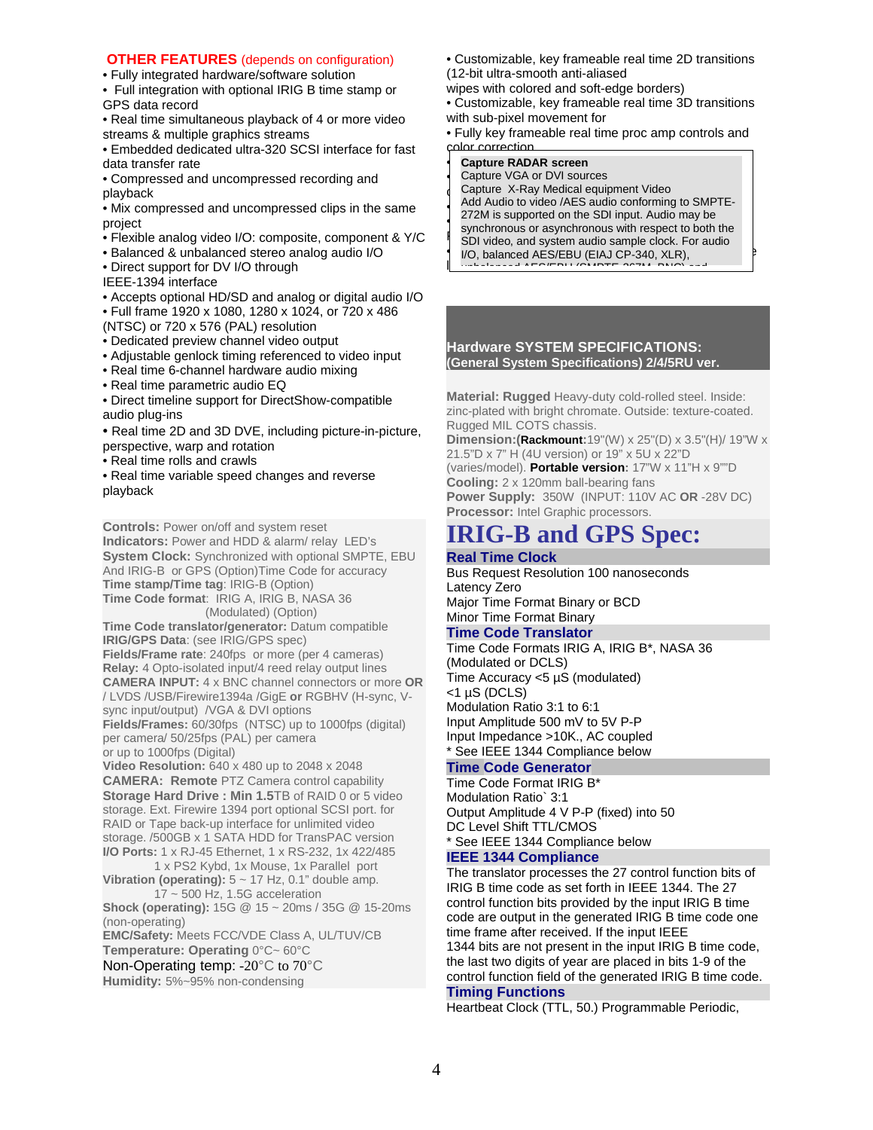## **OTHER FEATURES** (depends on configuration)

• Fully integrated hardware/software solution

• Full integration with optional IRIG B time stamp or GPS data record

• Real time simultaneous playback of 4 or more video streams & multiple graphics streams

• Embedded dedicated ultra-320 SCSI interface for fast data transfer rate

• Compressed and uncompressed recording and playback

• Mix compressed and uncompressed clips in the same project

- Flexible analog video I/O: composite, component & Y/C
- Balanced & unbalanced stereo analog audio I/O
- Direct support for DV I/O through

IEEE-1394 interface

- Accepts optional HD/SD and analog or digital audio I/O
- Full frame 1920 x 1080, 1280 x 1024, or 720 x 486
- (NTSC) or 720 x 576 (PAL) resolution
- Dedicated preview channel video output
- Adjustable genlock timing referenced to video input
- Real time 6-channel hardware audio mixing
- Real time parametric audio EQ

• Direct timeline support for DirectShow-compatible audio plug-ins

- Real time 2D and 3D DVE, including picture-in-picture, perspective, warp and rotation
- Real time rolls and crawls

• Real time variable speed changes and reverse playback

**Controls:** Power on/off and system reset **Indicators:** Power and HDD & alarm/ relay LED's **System Clock:** Synchronized with optional SMPTE, EBU And IRIG-B or GPS (Option)Time Code for accuracy **Time stamp/Time tag**: IRIG-B (Option) **Time Code format**: IRIG A, IRIG B, NASA 36 (Modulated) (Option) **Time Code translator/generator:** Datum compatible

**IRIG/GPS Data**: (see IRIG/GPS spec) **Fields/Frame rate**: 240fps or more (per 4 cameras) **Relay:** 4 Opto-isolated input/4 reed relay output lines **CAMERA INPUT:** 4 x BNC channel connectors or more **OR** / LVDS /USB/Firewire1394a /GigE **or** RGBHV (H-sync, Vsync input/output) / VGA & DVI options **Fields/Frames:** 60/30fps (NTSC) up to 1000fps (digital)

per camera/ 50/25fps (PAL) per camera or up to 1000fps (Digital)

**Video Resolution:** 640 x 480 up to 2048 x 2048 **CAMERA: Remote** PTZ Camera control capability **Storage Hard Drive : Min 1.5TB of RAID 0 or 5 video** storage. Ext. Firewire 1394 port optional SCSI port. for RAID or Tape back-up interface for unlimited video storage. /500GB x 1 SATA HDD for TransPAC version **I/O Ports:** 1 x RJ-45 Ethernet, 1 x RS-232, 1x 422/485

1 x PS2 Kybd, 1x Mouse, 1x Parallel port **Vibration (operating):** 5 ~ 17 Hz, 0.1" double amp. 17 ~ 500 Hz, 1.5G acceleration

**Shock (operating):** 15G @ 15 ~ 20ms / 35G @ 15-20ms (non-operating)

**EMC/Safety:** Meets FCC/VDE Class A, UL/TUV/CB **Temperature: Operating** 0°C~ 60°C

Non-Operating temp: -20°C to 70°C

**Humidity:** 5%~95% non-condensing

- Customizable, key frameable real time 2D transitions (12-bit ultra-smooth anti-aliased
- wipes with colored and soft-edge borders)
- Customizable, key frameable real time 3D transitions with sub-pixel movement for

• Fully key frameable real time proc amp controls and color correction

## **• Capture RADAR screen Capture RADAR screen**

• Capture VGA or DVI sources with alphabet with alphabet with alphabet with alphabet with alphabet with alphabet with  $\sim$ Capture X-Ray Medical equipment Video Add Audio to video /AES audio conforming to SMPTE-<br>
2701 is even and also the ODI issued Audio wave be  $\frac{272M}{N}$  is supported on the SDT input. Additionally be<br>synchronous or asynchronous with respect to both the **Report the System Strategies of advisormenced** with respect to be in the • Stand-alone logging tool for generating batch capture I/O, balanced AES/EBU (EIAJ CP-340, XLR),  $\sqcup$ 272M is supported on the SDI input. Audio may be  $\mathbf{u}$  unbalanced ABS/EBU (SMPTE-267M, BNC) and

#### **Hardware SYSTEM SPECIFICATIONS: (General System Specifications) 2/4/5RU ver.**

**Material: Rugged** Heavy-duty cold-rolled steel. Inside: zinc-plated with bright chromate. Outside: texture-coated. Rugged MIL COTS chassis.

**Dimension:(Rackmount:**19"(W) x 25"(D) x 3.5"(H)/ 19"W x 21.5"D x 7" H (4U version) or 19" x 5U x 22"D (varies/model). **Portable version:** 17"W x 11"H x 9""D **Cooling:** 2 x 120mm ball-bearing fans **Power Supply:** 350W (INPUT: 110V AC **OR** -28V DC) **Processor:** Intel Graphic processors.

# **IRIG-B and GPS Spec:**

# **Real Time Clock**

Bus Request Resolution 100 nanoseconds Latency Zero Major Time Format Binary or BCD Minor Time Format Binary

## **Time Code Translator**

Time Code Formats IRIG A, IRIG B\*, NASA 36 (Modulated or DCLS) Time Accuracy <5 µS (modulated)  $<$ 1 µS (DCLS) Modulation Ratio 3:1 to 6:1 Input Amplitude 500 mV to 5V P-P Input Impedance >10K., AC coupled \* See IEEE 1344 Compliance below

## **Time Code Generator**

Time Code Format IRIG B\* Modulation Ratio` 3:1 Output Amplitude 4 V P-P (fixed) into 50 DC Level Shift TTL/CMOS \* See IEEE 1344 Compliance below

#### **IEEE 1344 Compliance**

The translator processes the 27 control function bits of IRIG B time code as set forth in IEEE 1344. The 27 control function bits provided by the input IRIG B time code are output in the generated IRIG B time code one time frame after received. If the input IEEE 1344 bits are not present in the input IRIG B time code, the last two digits of year are placed in bits 1-9 of the control function field of the generated IRIG B time code.

## **Timing Functions**

Heartbeat Clock (TTL, 50.) Programmable Periodic,